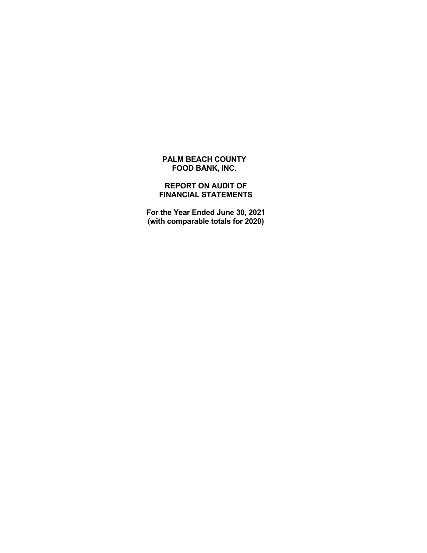# **PALM BEACH COUNTY FOOD BANK, INC.**

### **REPORT ON AUDIT OF FINANCIAL STATEMENTS**

**For the Year Ended June 30, 2021 (with comparable totals for 2020)**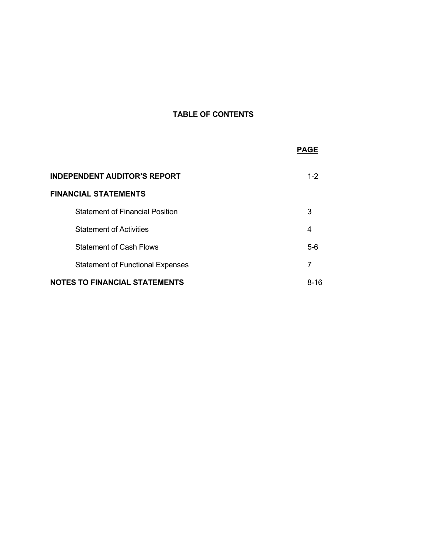# **TABLE OF CONTENTS**

|                                         | <b>PAGE</b> |
|-----------------------------------------|-------------|
| <b>INDEPENDENT AUDITOR'S REPORT</b>     | $1 - 2$     |
| <b>FINANCIAL STATEMENTS</b>             |             |
| <b>Statement of Financial Position</b>  | 3           |
| <b>Statement of Activities</b>          | 4           |
| <b>Statement of Cash Flows</b>          | $5-6$       |
| <b>Statement of Functional Expenses</b> | 7           |
| <b>NOTES TO FINANCIAL STATEMENTS</b>    | 8-16        |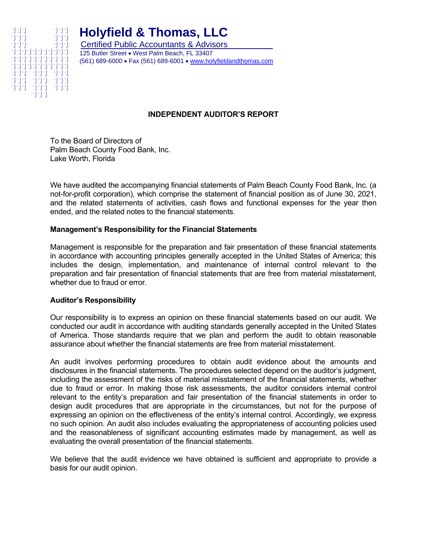

# **Holyfield & Thomas, LLC**

**Certified Public Accountants & Advisors** 125 Butler Street • West Palm Beach, FL 33407 (561) 689-6000 Fax (561) 689-6001 www.holyfieldandthomas.com

# **INDEPENDENT AUDITOR'S REPORT**

To the Board of Directors of Palm Beach County Food Bank, Inc. Lake Worth, Florida

We have audited the accompanying financial statements of Palm Beach County Food Bank, Inc. (a not-for-profit corporation), which comprise the statement of financial position as of June 30, 2021, and the related statements of activities, cash flows and functional expenses for the year then ended, and the related notes to the financial statements.

# **Management's Responsibility for the Financial Statements**

Management is responsible for the preparation and fair presentation of these financial statements in accordance with accounting principles generally accepted in the United States of America; this includes the design, implementation, and maintenance of internal control relevant to the preparation and fair presentation of financial statements that are free from material misstatement, whether due to fraud or error.

# **Auditor's Responsibility**

Our responsibility is to express an opinion on these financial statements based on our audit. We conducted our audit in accordance with auditing standards generally accepted in the United States of America. Those standards require that we plan and perform the audit to obtain reasonable assurance about whether the financial statements are free from material misstatement.

An audit involves performing procedures to obtain audit evidence about the amounts and disclosures in the financial statements. The procedures selected depend on the auditor's judgment, including the assessment of the risks of material misstatement of the financial statements, whether due to fraud or error. In making those risk assessments, the auditor considers internal control relevant to the entity's preparation and fair presentation of the financial statements in order to design audit procedures that are appropriate in the circumstances, but not for the purpose of expressing an opinion on the effectiveness of the entity's internal control. Accordingly, we express no such opinion. An audit also includes evaluating the appropriateness of accounting policies used and the reasonableness of significant accounting estimates made by management, as well as evaluating the overall presentation of the financial statements.

We believe that the audit evidence we have obtained is sufficient and appropriate to provide a basis for our audit opinion.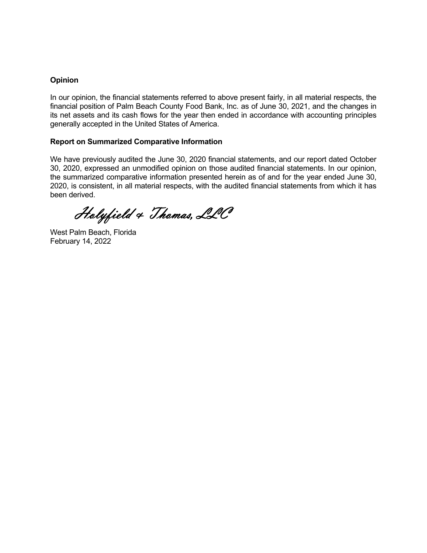### **Opinion**

In our opinion, the financial statements referred to above present fairly, in all material respects, the financial position of Palm Beach County Food Bank, Inc. as of June 30, 2021, and the changes in its net assets and its cash flows for the year then ended in accordance with accounting principles generally accepted in the United States of America.

#### **Report on Summarized Comparative Information**

We have previously audited the June 30, 2020 financial statements, and our report dated October 30, 2020, expressed an unmodified opinion on those audited financial statements. In our opinion, the summarized comparative information presented herein as of and for the year ended June 30, 2020, is consistent, in all material respects, with the audited financial statements from which it has been derived.

Holyfield & Thomas, LLC

West Palm Beach, Florida February 14, 2022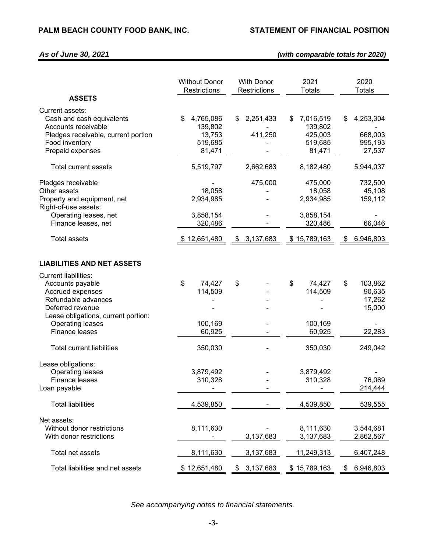# *As of June 30, 2021 (with comparable totals for 2020)*

|                                                                                                                                                                                                                                        | <b>Without Donor</b><br><b>With Donor</b><br>Restrictions<br>Restrictions |                            | 2021<br><b>Totals</b>                                      | 2020<br><b>Totals</b>                                            |
|----------------------------------------------------------------------------------------------------------------------------------------------------------------------------------------------------------------------------------------|---------------------------------------------------------------------------|----------------------------|------------------------------------------------------------|------------------------------------------------------------------|
| <b>ASSETS</b>                                                                                                                                                                                                                          |                                                                           |                            |                                                            |                                                                  |
| Current assets:<br>Cash and cash equivalents<br>Accounts receivable<br>Pledges receivable, current portion<br>Food inventory<br>Prepaid expenses                                                                                       | \$<br>4,765,086<br>139,802<br>13,753<br>519,685<br>81,471                 | 2,251,433<br>\$<br>411,250 | 7,016,519<br>\$<br>139,802<br>425,003<br>519,685<br>81,471 | 4,253,304<br>S<br>668,003<br>995,193<br>27,537                   |
| <b>Total current assets</b>                                                                                                                                                                                                            | 5,519,797                                                                 | 2,662,683                  | 8,182,480                                                  | 5,944,037                                                        |
| Pledges receivable<br>Other assets<br>Property and equipment, net<br>Right-of-use assets:<br>Operating leases, net<br>Finance leases, net                                                                                              | 18,058<br>2,934,985<br>3,858,154<br>320,486                               | 475,000                    | 475,000<br>18,058<br>2,934,985<br>3,858,154<br>320,486     | 732,500<br>45,108<br>159,112<br>66,046                           |
| <b>Total assets</b>                                                                                                                                                                                                                    | \$12,651,480                                                              | \$3,137,683                | \$15,789,163                                               | 6,946,803<br>\$                                                  |
| <b>LIABILITIES AND NET ASSETS</b>                                                                                                                                                                                                      |                                                                           |                            |                                                            |                                                                  |
| <b>Current liabilities:</b><br>Accounts payable<br>Accrued expenses<br>Refundable advances<br>Deferred revenue<br>Lease obligations, current portion:<br><b>Operating leases</b><br>Finance leases<br><b>Total current liabilities</b> | \$<br>74,427<br>114,509<br>100,169<br>60,925<br>350,030                   | \$                         | \$<br>74,427<br>114,509<br>100,169<br>60,925<br>350,030    | \$<br>103,862<br>90,635<br>17,262<br>15,000<br>22,283<br>249,042 |
| Lease obligations:<br><b>Operating leases</b><br>Finance leases<br>Loan payable                                                                                                                                                        | 3,879,492<br>310,328                                                      |                            | 3,879,492<br>310,328                                       | 76,069<br>214,444                                                |
| <b>Total liabilities</b>                                                                                                                                                                                                               | 4,539,850                                                                 |                            | 4,539,850                                                  | 539,555                                                          |
| Net assets:<br>Without donor restrictions<br>With donor restrictions                                                                                                                                                                   | 8,111,630                                                                 | 3,137,683                  | 8,111,630<br>3,137,683                                     | 3,544,681<br>2,862,567                                           |
| Total net assets                                                                                                                                                                                                                       | 8,111,630                                                                 | 3,137,683                  | 11,249,313                                                 | 6,407,248                                                        |
| Total liabilities and net assets                                                                                                                                                                                                       | \$12,651,480                                                              | \$3,137,683                | \$15,789,163                                               | 6,946,803<br>\$                                                  |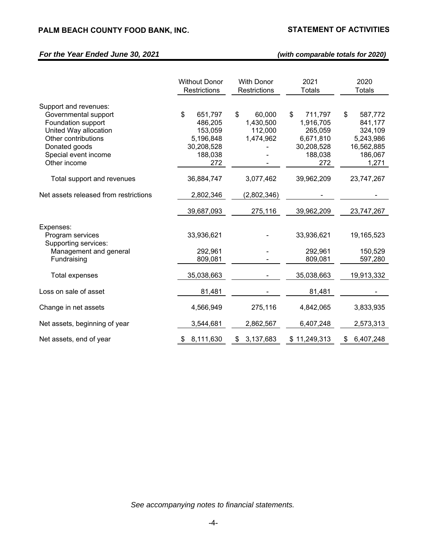|                                       | <b>Without Donor</b><br>Restrictions | <b>With Donor</b><br>Restrictions | 2021<br><b>Totals</b> | 2020<br><b>Totals</b> |
|---------------------------------------|--------------------------------------|-----------------------------------|-----------------------|-----------------------|
| Support and revenues:                 |                                      |                                   |                       |                       |
| Governmental support                  | \$<br>651,797                        | \$<br>60,000                      | \$<br>711,797         | \$<br>587,772         |
| Foundation support                    | 486,205                              | 1,430,500                         | 1,916,705             | 841,177               |
| United Way allocation                 | 153,059                              | 112,000                           | 265,059               | 324,109               |
| Other contributions                   | 5,196,848                            | 1,474,962                         | 6,671,810             | 5,243,986             |
| Donated goods                         | 30,208,528                           |                                   | 30,208,528            | 16,562,885            |
| Special event income                  | 188,038                              |                                   | 188,038               | 186,067               |
| Other income                          | 272                                  |                                   | 272                   | 1,271                 |
| Total support and revenues            | 36,884,747                           | 3,077,462                         | 39,962,209            | 23,747,267            |
| Net assets released from restrictions | 2,802,346                            | (2,802,346)                       |                       |                       |
|                                       | 39,687,093                           | 275,116                           | 39,962,209            | 23,747,267            |
| Expenses:                             |                                      |                                   |                       |                       |
| Program services                      | 33,936,621                           |                                   | 33,936,621            | 19,165,523            |
| Supporting services:                  |                                      |                                   |                       |                       |
| Management and general                | 292,961                              |                                   | 292,961               | 150,529               |
| Fundraising                           | 809,081                              |                                   | 809,081               | 597,280               |
| <b>Total expenses</b>                 | 35,038,663                           |                                   | 35,038,663            | 19,913,332            |
|                                       |                                      |                                   |                       |                       |
| Loss on sale of asset                 | 81,481                               |                                   | 81,481                |                       |
| Change in net assets                  | 4,566,949                            | 275,116                           | 4,842,065             | 3,833,935             |
| Net assets, beginning of year         | 3,544,681                            | 2,862,567                         | 6,407,248             | 2,573,313             |
| Net assets, end of year               | 8,111,630<br>\$                      | 3,137,683<br>\$                   | 11,249,313<br>\$      | 6,407,248<br>\$       |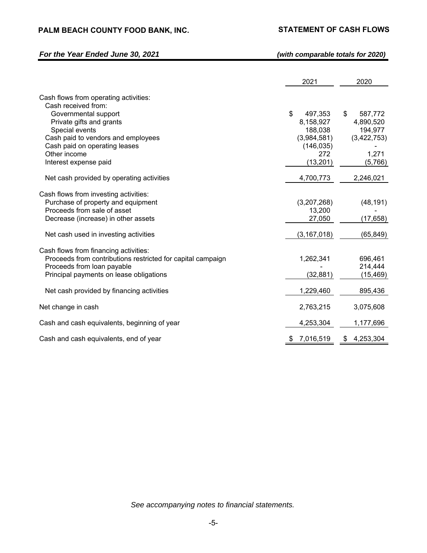|                                                             | 2021           | 2020           |
|-------------------------------------------------------------|----------------|----------------|
| Cash flows from operating activities:                       |                |                |
| Cash received from:                                         |                |                |
| Governmental support                                        | \$<br>497,353  | \$<br>587,772  |
| Private gifts and grants                                    | 8,158,927      | 4,890,520      |
| Special events                                              | 188,038        | 194,977        |
| Cash paid to vendors and employees                          | (3,984,581)    | (3,422,753)    |
| Cash paid on operating leases                               | (146, 035)     |                |
| Other income                                                | 272            | 1,271          |
| Interest expense paid                                       | (13, 201)      | (5,766)        |
| Net cash provided by operating activities                   | 4,700,773      | 2,246,021      |
| Cash flows from investing activities:                       |                |                |
| Purchase of property and equipment                          | (3,207,268)    | (48, 191)      |
| Proceeds from sale of asset                                 | 13,200         |                |
| Decrease (increase) in other assets                         | 27,050         | (17, 658)      |
| Net cash used in investing activities                       | (3, 167, 018)  | (65, 849)      |
| Cash flows from financing activities:                       |                |                |
| Proceeds from contributions restricted for capital campaign | 1,262,341      | 696,461        |
| Proceeds from loan payable                                  |                | 214,444        |
| Principal payments on lease obligations                     | (32, 881)      | (15, 469)      |
|                                                             |                |                |
| Net cash provided by financing activities                   | 1,229,460      | 895,436        |
| Net change in cash                                          | 2,763,215      | 3,075,608      |
| Cash and cash equivalents, beginning of year                | 4,253,304      | 1,177,696      |
| Cash and cash equivalents, end of year                      | 7,016,519<br>S | 4,253,304<br>S |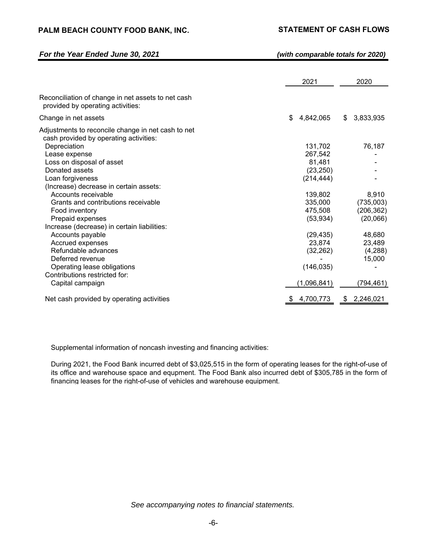| For the Year Ended June 30, 2021 |  |  |  |  |  |  |  |  |
|----------------------------------|--|--|--|--|--|--|--|--|
|----------------------------------|--|--|--|--|--|--|--|--|

|                                                                                              | 2021            | 2020            |
|----------------------------------------------------------------------------------------------|-----------------|-----------------|
| Reconciliation of change in net assets to net cash<br>provided by operating activities:      |                 |                 |
| Change in net assets                                                                         | \$<br>4,842,065 | 3,833,935<br>\$ |
| Adjustments to reconcile change in net cash to net<br>cash provided by operating activities: |                 |                 |
| Depreciation                                                                                 | 131.702         | 76,187          |
| Lease expense                                                                                | 267.542         |                 |
| Loss on disposal of asset                                                                    | 81,481          |                 |
| Donated assets                                                                               | (23, 250)       |                 |
| Loan forgiveness                                                                             | (214, 444)      |                 |
| (Increase) decrease in certain assets:                                                       |                 |                 |
| Accounts receivable                                                                          | 139,802         | 8,910           |
| Grants and contributions receivable                                                          | 335,000         | (735,003)       |
| Food inventory                                                                               | 475.508         | (206, 362)      |
| Prepaid expenses                                                                             | (53, 934)       | (20,066)        |
| Increase (decrease) in certain liabilities:                                                  |                 |                 |
| Accounts payable                                                                             | (29, 435)       | 48,680          |
| Accrued expenses                                                                             | 23.874          | 23,489          |
| Refundable advances                                                                          | (32, 262)       | (4,288)         |
| Deferred revenue                                                                             |                 | 15,000          |
| Operating lease obligations                                                                  | (146, 035)      |                 |
| Contributions restricted for:                                                                |                 |                 |
| Capital campaign                                                                             | (1,096,841)     | (794,461)       |
| Net cash provided by operating activities                                                    | 4,700,773       | 2,246,021<br>\$ |

Supplemental information of noncash investing and financing activities:

During 2021, the Food Bank incurred debt of \$3,025,515 in the form of operating leases for the right-of-use of its office and warehouse space and equpment. The Food Bank also incurred debt of \$305,785 in the form of financing leases for the right-of-use of vehicles and warehouse equipment.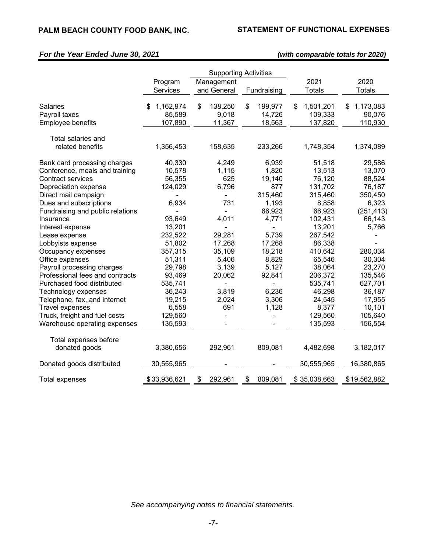|                                  |                | <b>Supporting Activities</b> |               |                 |                 |
|----------------------------------|----------------|------------------------------|---------------|-----------------|-----------------|
|                                  | Program        | Management                   |               | 2021            | 2020            |
|                                  | Services       | and General                  | Fundraising   | <b>Totals</b>   | <b>Totals</b>   |
|                                  |                |                              |               |                 |                 |
| <b>Salaries</b>                  | 1,162,974<br>S | \$<br>138,250                | \$<br>199,977 | \$<br>1,501,201 | \$<br>1,173,083 |
| Payroll taxes                    | 85,589         | 9,018                        | 14,726        | 109,333         | 90,076          |
| Employee benefits                | 107,890        | 11,367                       | 18,563        | 137,820         | 110,930         |
| Total salaries and               |                |                              |               |                 |                 |
| related benefits                 | 1,356,453      | 158,635                      |               | 1,748,354       |                 |
|                                  |                |                              | 233,266       |                 | 1,374,089       |
| Bank card processing charges     | 40,330         | 4,249                        | 6,939         | 51,518          | 29,586          |
| Conference, meals and training   | 10,578         | 1,115                        | 1,820         | 13,513          | 13,070          |
| <b>Contract services</b>         | 56,355         | 625                          | 19,140        | 76,120          | 88,524          |
| Depreciation expense             | 124,029        | 6,796                        | 877           | 131,702         | 76,187          |
| Direct mail campaign             |                |                              | 315,460       | 315,460         | 350,450         |
| Dues and subscriptions           | 6,934          | 731                          | 1,193         | 8,858           | 6,323           |
| Fundraising and public relations |                |                              | 66,923        | 66,923          | (251, 413)      |
| Insurance                        | 93,649         | 4,011                        | 4,771         | 102,431         | 66,143          |
| Interest expense                 | 13,201         |                              |               | 13,201          | 5,766           |
| Lease expense                    | 232,522        | 29,281                       | 5,739         | 267,542         |                 |
| Lobbyists expense                | 51,802         | 17,268                       | 17,268        | 86,338          |                 |
| Occupancy expenses               | 357,315        | 35,109                       | 18,218        | 410,642         | 280,034         |
| Office expenses                  | 51,311         | 5,406                        | 8,829         | 65,546          | 30,304          |
| Payroll processing charges       | 29,798         | 3,139                        | 5,127         | 38,064          | 23,270          |
| Professional fees and contracts  | 93,469         | 20,062                       | 92,841        | 206,372         | 135,546         |
| Purchased food distributed       | 535,741        |                              |               | 535,741         | 627,701         |
| Technology expenses              | 36,243         | 3,819                        | 6,236         | 46,298          | 36,187          |
| Telephone, fax, and internet     | 19,215         | 2,024                        | 3,306         | 24,545          | 17,955          |
| <b>Travel expenses</b>           | 6,558          | 691                          | 1,128         | 8,377           | 10,101          |
| Truck, freight and fuel costs    | 129,560        |                              |               | 129,560         | 105,640         |
| Warehouse operating expenses     | 135,593        |                              |               | 135,593         | 156,554         |
| Total expenses before            |                |                              |               |                 |                 |
| donated goods                    | 3,380,656      | 292,961                      | 809,081       | 4,482,698       | 3,182,017       |
|                                  |                |                              |               |                 |                 |
| Donated goods distributed        | 30,555,965     |                              |               | 30,555,965      | 16,380,865      |
| Total expenses                   | \$33,936,621   | \$<br>292,961                | \$<br>809,081 | \$35,038,663    | \$19,562,882    |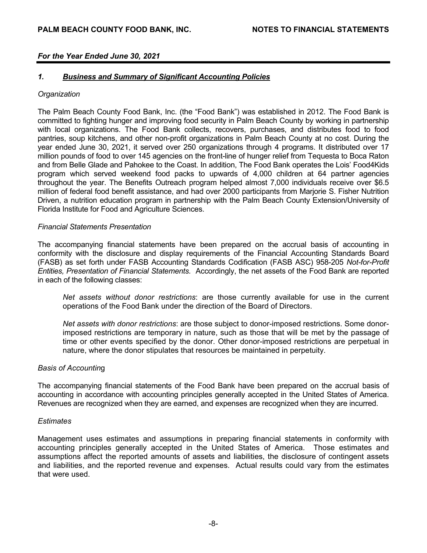# *1. Business and Summary of Significant Accounting Policies*

# *Organization*

The Palm Beach County Food Bank, Inc. (the "Food Bank") was established in 2012. The Food Bank is committed to fighting hunger and improving food security in Palm Beach County by working in partnership with local organizations. The Food Bank collects, recovers, purchases, and distributes food to food pantries, soup kitchens, and other non-profit organizations in Palm Beach County at no cost. During the year ended June 30, 2021, it served over 250 organizations through 4 programs. It distributed over 17 million pounds of food to over 145 agencies on the front-line of hunger relief from Tequesta to Boca Raton and from Belle Glade and Pahokee to the Coast. In addition, The Food Bank operates the Lois' Food4Kids program which served weekend food packs to upwards of 4,000 children at 64 partner agencies throughout the year. The Benefits Outreach program helped almost 7,000 individuals receive over \$6.5 million of federal food benefit assistance, and had over 2000 participants from Marjorie S. Fisher Nutrition Driven, a nutrition education program in partnership with the Palm Beach County Extension/University of Florida Institute for Food and Agriculture Sciences.

### *Financial Statements Presentation*

The accompanying financial statements have been prepared on the accrual basis of accounting in conformity with the disclosure and display requirements of the Financial Accounting Standards Board (FASB) as set forth under FASB Accounting Standards Codification (FASB ASC) 958-205 *Not-for-Profit Entities, Presentation of Financial Statements.* Accordingly, the net assets of the Food Bank are reported in each of the following classes:

*Net assets without donor restrictions*: are those currently available for use in the current operations of the Food Bank under the direction of the Board of Directors.

*Net assets with donor restrictions*: are those subject to donor-imposed restrictions. Some donorimposed restrictions are temporary in nature, such as those that will be met by the passage of time or other events specified by the donor. Other donor-imposed restrictions are perpetual in nature, where the donor stipulates that resources be maintained in perpetuity.

#### *Basis of Accountin*g

The accompanying financial statements of the Food Bank have been prepared on the accrual basis of accounting in accordance with accounting principles generally accepted in the United States of America. Revenues are recognized when they are earned, and expenses are recognized when they are incurred.

#### *Estimates*

Management uses estimates and assumptions in preparing financial statements in conformity with accounting principles generally accepted in the United States of America. Those estimates and assumptions affect the reported amounts of assets and liabilities, the disclosure of contingent assets and liabilities, and the reported revenue and expenses. Actual results could vary from the estimates that were used.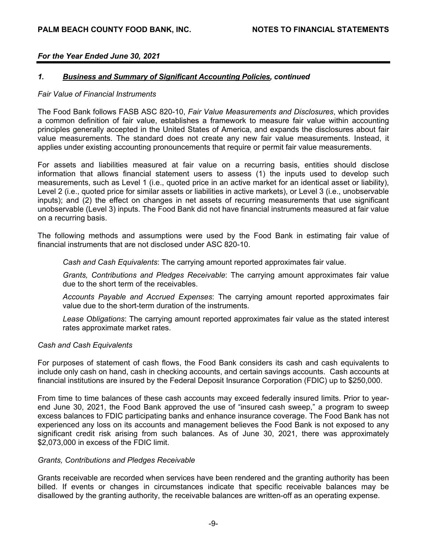# *1. Business and Summary of Significant Accounting Policies, continued*

#### *Fair Value of Financial Instruments*

The Food Bank follows FASB ASC 820-10, *Fair Value Measurements and Disclosures*, which provides a common definition of fair value, establishes a framework to measure fair value within accounting principles generally accepted in the United States of America, and expands the disclosures about fair value measurements. The standard does not create any new fair value measurements. Instead, it applies under existing accounting pronouncements that require or permit fair value measurements.

For assets and liabilities measured at fair value on a recurring basis, entities should disclose information that allows financial statement users to assess (1) the inputs used to develop such measurements, such as Level 1 (i.e., quoted price in an active market for an identical asset or liability), Level 2 (i.e., quoted price for similar assets or liabilities in active markets), or Level 3 (i.e., unobservable inputs); and (2) the effect on changes in net assets of recurring measurements that use significant unobservable (Level 3) inputs. The Food Bank did not have financial instruments measured at fair value on a recurring basis.

The following methods and assumptions were used by the Food Bank in estimating fair value of financial instruments that are not disclosed under ASC 820-10.

*Cash and Cash Equivalents*: The carrying amount reported approximates fair value.

*Grants, Contributions and Pledges Receivable*: The carrying amount approximates fair value due to the short term of the receivables.

*Accounts Payable and Accrued Expenses*: The carrying amount reported approximates fair value due to the short-term duration of the instruments.

*Lease Obligations*: The carrying amount reported approximates fair value as the stated interest rates approximate market rates.

#### *Cash and Cash Equivalents*

For purposes of statement of cash flows, the Food Bank considers its cash and cash equivalents to include only cash on hand, cash in checking accounts, and certain savings accounts. Cash accounts at financial institutions are insured by the Federal Deposit Insurance Corporation (FDIC) up to \$250,000.

From time to time balances of these cash accounts may exceed federally insured limits. Prior to yearend June 30, 2021, the Food Bank approved the use of "insured cash sweep," a program to sweep excess balances to FDIC participating banks and enhance insurance coverage. The Food Bank has not experienced any loss on its accounts and management believes the Food Bank is not exposed to any significant credit risk arising from such balances. As of June 30, 2021, there was approximately \$2,073,000 in excess of the FDIC limit.

#### *Grants, Contributions and Pledges Receivable*

Grants receivable are recorded when services have been rendered and the granting authority has been billed. If events or changes in circumstances indicate that specific receivable balances may be disallowed by the granting authority, the receivable balances are written-off as an operating expense.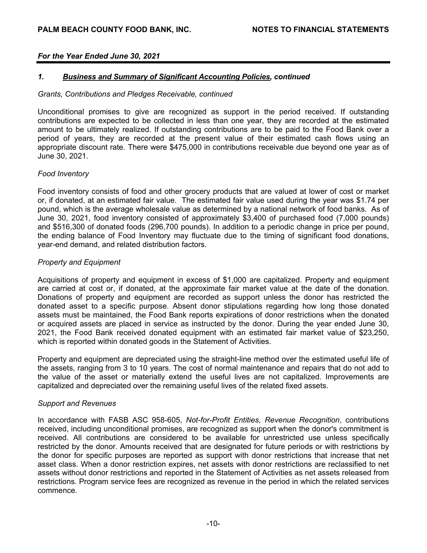# *1. Business and Summary of Significant Accounting Policies, continued*

#### *Grants, Contributions and Pledges Receivable, continued*

Unconditional promises to give are recognized as support in the period received. If outstanding contributions are expected to be collected in less than one year, they are recorded at the estimated amount to be ultimately realized. If outstanding contributions are to be paid to the Food Bank over a period of years, they are recorded at the present value of their estimated cash flows using an appropriate discount rate. There were \$475,000 in contributions receivable due beyond one year as of June 30, 2021.

### *Food Inventory*

Food inventory consists of food and other grocery products that are valued at lower of cost or market or, if donated, at an estimated fair value. The estimated fair value used during the year was \$1.74 per pound, which is the average wholesale value as determined by a national network of food banks. As of June 30, 2021, food inventory consisted of approximately \$3,400 of purchased food (7,000 pounds) and \$516,300 of donated foods (296,700 pounds). In addition to a periodic change in price per pound, the ending balance of Food Inventory may fluctuate due to the timing of significant food donations, year-end demand, and related distribution factors.

### *Property and Equipment*

Acquisitions of property and equipment in excess of \$1,000 are capitalized. Property and equipment are carried at cost or, if donated, at the approximate fair market value at the date of the donation. Donations of property and equipment are recorded as support unless the donor has restricted the donated asset to a specific purpose. Absent donor stipulations regarding how long those donated assets must be maintained, the Food Bank reports expirations of donor restrictions when the donated or acquired assets are placed in service as instructed by the donor. During the year ended June 30, 2021, the Food Bank received donated equipment with an estimated fair market value of \$23,250, which is reported within donated goods in the Statement of Activities.

Property and equipment are depreciated using the straight-line method over the estimated useful life of the assets, ranging from 3 to 10 years. The cost of normal maintenance and repairs that do not add to the value of the asset or materially extend the useful lives are not capitalized. Improvements are capitalized and depreciated over the remaining useful lives of the related fixed assets.

#### *Support and Revenues*

In accordance with FASB ASC 958-605, *Not-for-Profit Entities, Revenue Recognition*, contributions received, including unconditional promises, are recognized as support when the donor's commitment is received. All contributions are considered to be available for unrestricted use unless specifically restricted by the donor. Amounts received that are designated for future periods or with restrictions by the donor for specific purposes are reported as support with donor restrictions that increase that net asset class. When a donor restriction expires, net assets with donor restrictions are reclassified to net assets without donor restrictions and reported in the Statement of Activities as net assets released from restrictions. Program service fees are recognized as revenue in the period in which the related services commence.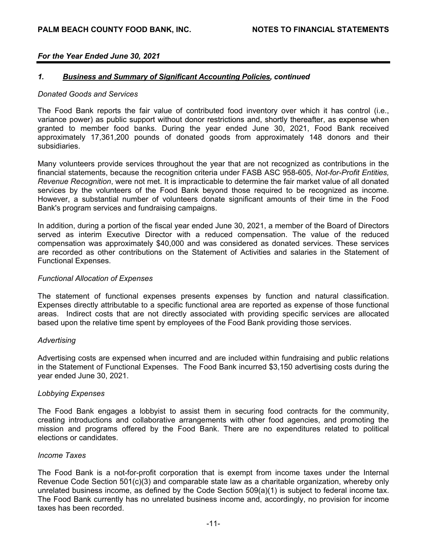### *1. Business and Summary of Significant Accounting Policies, continued*

#### *Donated Goods and Services*

The Food Bank reports the fair value of contributed food inventory over which it has control (i.e., variance power) as public support without donor restrictions and, shortly thereafter, as expense when granted to member food banks. During the year ended June 30, 2021, Food Bank received approximately 17,361,200 pounds of donated goods from approximately 148 donors and their subsidiaries.

Many volunteers provide services throughout the year that are not recognized as contributions in the financial statements, because the recognition criteria under FASB ASC 958-605, *Not-for-Profit Entities, Revenue Recognition*, were not met. It is impracticable to determine the fair market value of all donated services by the volunteers of the Food Bank beyond those required to be recognized as income. However, a substantial number of volunteers donate significant amounts of their time in the Food Bank's program services and fundraising campaigns.

In addition, during a portion of the fiscal year ended June 30, 2021, a member of the Board of Directors served as interim Executive Director with a reduced compensation. The value of the reduced compensation was approximately \$40,000 and was considered as donated services. These services are recorded as other contributions on the Statement of Activities and salaries in the Statement of Functional Expenses.

#### *Functional Allocation of Expenses*

The statement of functional expenses presents expenses by function and natural classification. Expenses directly attributable to a specific functional area are reported as expense of those functional areas. Indirect costs that are not directly associated with providing specific services are allocated based upon the relative time spent by employees of the Food Bank providing those services.

#### *Advertising*

Advertising costs are expensed when incurred and are included within fundraising and public relations in the Statement of Functional Expenses. The Food Bank incurred \$3,150 advertising costs during the year ended June 30, 2021.

#### *Lobbying Expenses*

The Food Bank engages a lobbyist to assist them in securing food contracts for the community, creating introductions and collaborative arrangements with other food agencies, and promoting the mission and programs offered by the Food Bank. There are no expenditures related to political elections or candidates.

#### *Income Taxes*

The Food Bank is a not-for-profit corporation that is exempt from income taxes under the Internal Revenue Code Section 501(c)(3) and comparable state law as a charitable organization, whereby only unrelated business income, as defined by the Code Section 509(a)(1) is subject to federal income tax. The Food Bank currently has no unrelated business income and, accordingly, no provision for income taxes has been recorded.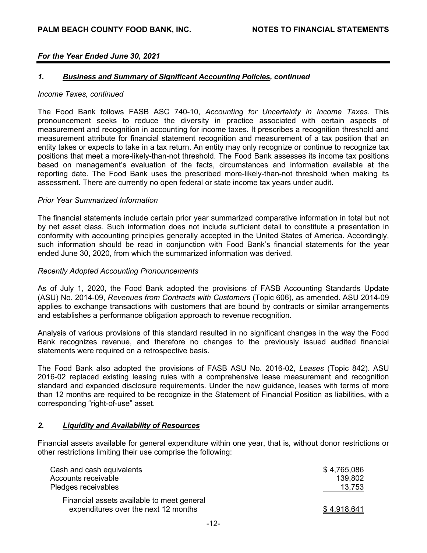#### *1. Business and Summary of Significant Accounting Policies, continued*

#### *Income Taxes, continued*

The Food Bank follows FASB ASC 740-10, *Accounting for Uncertainty in Income Taxes*. This pronouncement seeks to reduce the diversity in practice associated with certain aspects of measurement and recognition in accounting for income taxes. It prescribes a recognition threshold and measurement attribute for financial statement recognition and measurement of a tax position that an entity takes or expects to take in a tax return. An entity may only recognize or continue to recognize tax positions that meet a more-likely-than-not threshold. The Food Bank assesses its income tax positions based on management's evaluation of the facts, circumstances and information available at the reporting date. The Food Bank uses the prescribed more-likely-than-not threshold when making its assessment. There are currently no open federal or state income tax years under audit.

#### *Prior Year Summarized Information*

The financial statements include certain prior year summarized comparative information in total but not by net asset class. Such information does not include sufficient detail to constitute a presentation in conformity with accounting principles generally accepted in the United States of America. Accordingly, such information should be read in conjunction with Food Bank's financial statements for the year ended June 30, 2020, from which the summarized information was derived.

#### *Recently Adopted Accounting Pronouncements*

As of July 1, 2020, the Food Bank adopted the provisions of FASB Accounting Standards Update (ASU) No. 2014-09, *Revenues from Contracts with Customers* (Topic 606), as amended. ASU 2014-09 applies to exchange transactions with customers that are bound by contracts or similar arrangements and establishes a performance obligation approach to revenue recognition.

Analysis of various provisions of this standard resulted in no significant changes in the way the Food Bank recognizes revenue, and therefore no changes to the previously issued audited financial statements were required on a retrospective basis.

The Food Bank also adopted the provisions of FASB ASU No. 2016-02, *Leases* (Topic 842). ASU 2016-02 replaced existing leasing rules with a comprehensive lease measurement and recognition standard and expanded disclosure requirements. Under the new guidance, leases with terms of more than 12 months are required to be recognize in the Statement of Financial Position as liabilities, with a corresponding "right-of-use" asset.

#### *2. Liquidity and Availability of Resources*

Financial assets available for general expenditure within one year, that is, without donor restrictions or other restrictions limiting their use comprise the following:

| Cash and cash equivalents                                                          | \$4,765,086 |
|------------------------------------------------------------------------------------|-------------|
| Accounts receivable                                                                | 139.802     |
| Pledges receivables                                                                | 13,753      |
| Financial assets available to meet general<br>expenditures over the next 12 months | \$4,918,641 |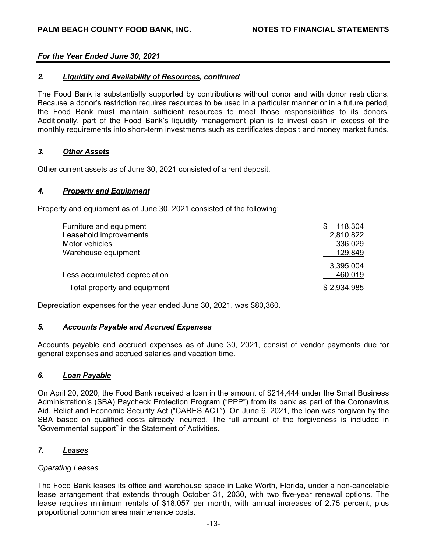# *2. Liquidity and Availability of Resources, continued*

The Food Bank is substantially supported by contributions without donor and with donor restrictions. Because a donor's restriction requires resources to be used in a particular manner or in a future period, the Food Bank must maintain sufficient resources to meet those responsibilities to its donors. Additionally, part of the Food Bank's liquidity management plan is to invest cash in excess of the monthly requirements into short-term investments such as certificates deposit and money market funds.

### *3. Other Assets*

Other current assets as of June 30, 2021 consisted of a rent deposit.

### *4. Property and Equipment*

Property and equipment as of June 30, 2021 consisted of the following:

| Furniture and equipment       | 118,304<br>\$. |
|-------------------------------|----------------|
| Leasehold improvements        | 2,810,822      |
| Motor vehicles                | 336,029        |
| Warehouse equipment           | 129,849        |
|                               | 3,395,004      |
| Less accumulated depreciation | 460,019        |
| Total property and equipment  | \$2.934,985    |

Depreciation expenses for the year ended June 30, 2021, was \$80,360.

#### *5. Accounts Payable and Accrued Expenses*

Accounts payable and accrued expenses as of June 30, 2021, consist of vendor payments due for general expenses and accrued salaries and vacation time.

#### *6. Loan Payable*

On April 20, 2020, the Food Bank received a loan in the amount of \$214,444 under the Small Business Administration's (SBA) Paycheck Protection Program ("PPP") from its bank as part of the Coronavirus Aid, Relief and Economic Security Act ("CARES ACT"). On June 6, 2021, the loan was forgiven by the SBA based on qualified costs already incurred. The full amount of the forgiveness is included in "Governmental support" in the Statement of Activities.

# *7. Leases*

# *Operating Leases*

The Food Bank leases its office and warehouse space in Lake Worth, Florida, under a non-cancelable lease arrangement that extends through October 31, 2030, with two five-year renewal options. The lease requires minimum rentals of \$18,057 per month, with annual increases of 2.75 percent, plus proportional common area maintenance costs.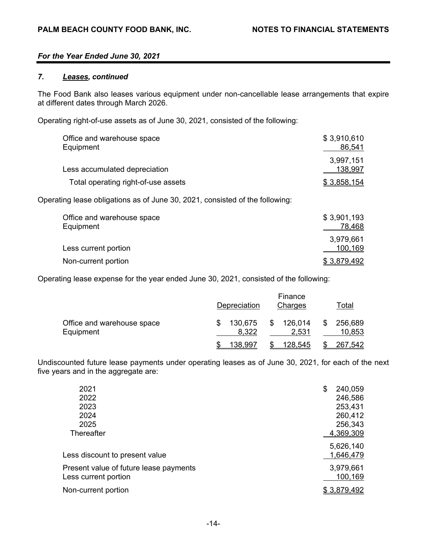#### *7. Leases, continued*

The Food Bank also leases various equipment under non-cancellable lease arrangements that expire at different dates through March 2026.

Operating right-of-use assets as of June 30, 2021, consisted of the following:

| Office and warehouse space<br>Equipment                                                                                                                                                                                                                 | \$3,910,610<br>86,541 |
|---------------------------------------------------------------------------------------------------------------------------------------------------------------------------------------------------------------------------------------------------------|-----------------------|
| Less accumulated depreciation                                                                                                                                                                                                                           | 3,997,151<br>138,997  |
| Total operating right-of-use assets                                                                                                                                                                                                                     | \$3,858,154           |
| $\blacksquare$ . The contract of the contract of the contract of the contract of the contract of the contract of the contract of the contract of the contract of the contract of the contract of the contract of the contract of the<br>.<br>. <i>.</i> |                       |

Operating lease obligations as of June 30, 2021, consisted of the following:

| Office and warehouse space<br>Equipment | \$3,901,193<br>78,468 |
|-----------------------------------------|-----------------------|
| Less current portion                    | 3,979,661<br>100,169  |
| Non-current portion                     | \$3,879,492           |

Operating lease expense for the year ended June 30, 2021, consisted of the following:

|                                         | Depreciation     | Finance<br>Charges      | Total                   |
|-----------------------------------------|------------------|-------------------------|-------------------------|
| Office and warehouse space<br>Equipment | 130,675<br>8.322 | 126,014<br>\$.<br>2,531 | 256,689<br>S.<br>10,853 |
|                                         | 138.997          | 128.545                 | <u>267,542</u>          |

Undiscounted future lease payments under operating leases as of June 30, 2021, for each of the next five years and in the aggregate are:

| 2021                                   | \$<br>240,059 |
|----------------------------------------|---------------|
| 2022                                   | 246,586       |
| 2023                                   | 253,431       |
| 2024                                   | 260,412       |
| 2025                                   | 256,343       |
| Thereafter                             | 4,369,309     |
|                                        | 5,626,140     |
| Less discount to present value         | 1,646,479     |
| Present value of future lease payments | 3,979,661     |
| Less current portion                   | 100,169       |
| Non-current portion                    | \$3,879,492   |
|                                        |               |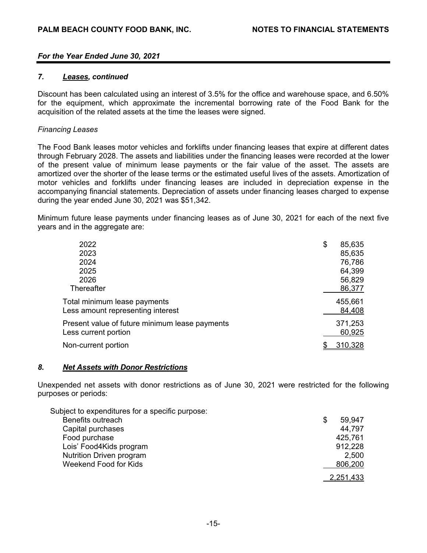### *7. Leases, continued*

Discount has been calculated using an interest of 3.5% for the office and warehouse space, and 6.50% for the equipment, which approximate the incremental borrowing rate of the Food Bank for the acquisition of the related assets at the time the leases were signed.

#### *Financing Leases*

The Food Bank leases motor vehicles and forklifts under financing leases that expire at different dates through February 2028. The assets and liabilities under the financing leases were recorded at the lower of the present value of minimum lease payments or the fair value of the asset. The assets are amortized over the shorter of the lease terms or the estimated useful lives of the assets. Amortization of motor vehicles and forklifts under financing leases are included in depreciation expense in the accompanying financial statements. Depreciation of assets under financing leases charged to expense during the year ended June 30, 2021 was \$51,342.

Minimum future lease payments under financing leases as of June 30, 2021 for each of the next five years and in the aggregate are:

| 2022                                           | \$<br>85,635 |
|------------------------------------------------|--------------|
| 2023                                           | 85,635       |
| 2024                                           | 76,786       |
| 2025                                           | 64,399       |
| 2026                                           | 56,829       |
| Thereafter                                     | 86,377       |
| Total minimum lease payments                   | 455,661      |
| Less amount representing interest              | 84,408       |
| Present value of future minimum lease payments | 371,253      |
| Less current portion                           | 60,925       |
| Non-current portion                            | 310,328      |
|                                                |              |

#### *8. Net Assets with Donor Restrictions*

Unexpended net assets with donor restrictions as of June 30, 2021 were restricted for the following purposes or periods:

| Subject to expenditures for a specific purpose: |           |
|-------------------------------------------------|-----------|
| Benefits outreach                               | 59,947    |
| Capital purchases                               | 44.797    |
| Food purchase                                   | 425,761   |
| Lois' Food4Kids program                         | 912,228   |
| <b>Nutrition Driven program</b>                 | 2,500     |
| Weekend Food for Kids                           | 806,200   |
|                                                 | 2,251,433 |